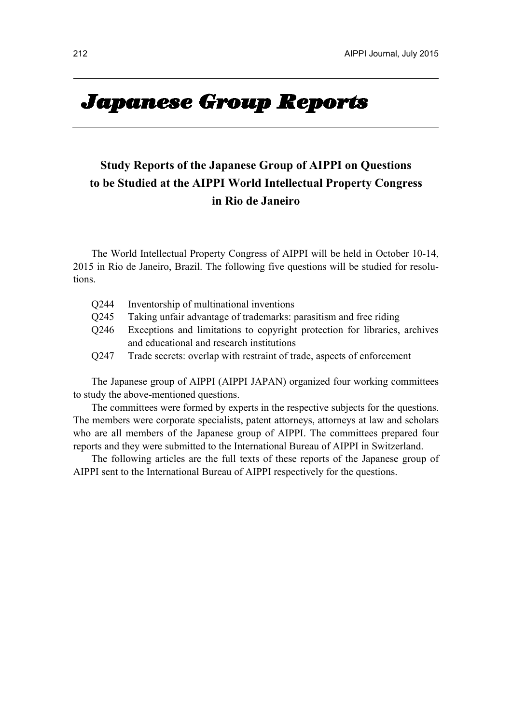# **Japanese Group Reports**

## **Study Reports of the Japanese Group of AIPPI on Questions to be Studied at the AIPPI World Intellectual Property Congress in Rio de Janeiro**

The World Intellectual Property Congress of AIPPI will be held in October 10-14, 2015 in Rio de Janeiro, Brazil. The following five questions will be studied for resolutions.

| 0244 | Inventorship of multinational inventions                                   |
|------|----------------------------------------------------------------------------|
| 0245 | Taking unfair advantage of trademarks: parasitism and free riding          |
| 0246 | Exceptions and limitations to copyright protection for libraries, archives |
|      | and educational and research institutions                                  |
| Q247 | Trade secrets: overlap with restraint of trade, aspects of enforcement     |

The Japanese group of AIPPI (AIPPI JAPAN) organized four working committees to study the above-mentioned questions.

The committees were formed by experts in the respective subjects for the questions. The members were corporate specialists, patent attorneys, attorneys at law and scholars who are all members of the Japanese group of AIPPI. The committees prepared four reports and they were submitted to the International Bureau of AIPPI in Switzerland.

The following articles are the full texts of these reports of the Japanese group of AIPPI sent to the International Bureau of AIPPI respectively for the questions.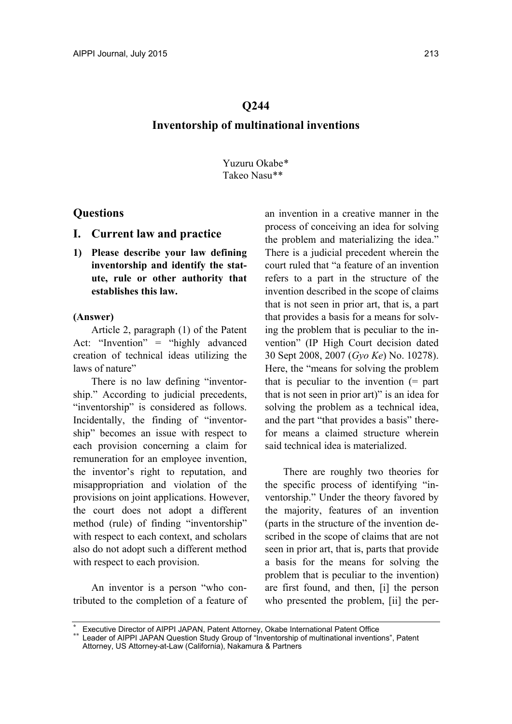## **Q244 Inventorship of multinational inventions**

Yuzuru Okabe\* Takeo Nasu\*\*

## **Questions**

- **I. Current law and practice**
- **1) Please describe your law defining inventorship and identify the statute, rule or other authority that establishes this law.**

## **(Answer)**

Article 2, paragraph (1) of the Patent Act: "Invention" = "highly advanced creation of technical ideas utilizing the laws of nature"

There is no law defining "inventorship." According to judicial precedents, "inventorship" is considered as follows. Incidentally, the finding of "inventorship" becomes an issue with respect to each provision concerning a claim for remuneration for an employee invention, the inventor's right to reputation, and misappropriation and violation of the provisions on joint applications. However, the court does not adopt a different method (rule) of finding "inventorship" with respect to each context, and scholars also do not adopt such a different method with respect to each provision.

An inventor is a person "who contributed to the completion of a feature of a[n in](#page-1-1)[v](#page-1-0)ention in a creative manner in the process of conceiving an idea for solving the problem and materializing the idea." There is a judicial precedent wherein the court ruled that "a feature of an invention refers to a part in the structure of the invention described in the scope of claims that is not seen in prior art, that is, a part that provides a basis for a means for solving the problem that is peculiar to the invention" (IP High Court decision dated 30 Sept 2008, 2007 (*Gyo Ke*) No. 10278). Here, the "means for solving the problem that is peculiar to the invention  $(=$  part that is not seen in prior art)" is an idea for solving the problem as a technical idea, and the part "that provides a basis" therefor means a claimed structure wherein said technical idea is materialized.

There are roughly two theories for the specific process of identifying "inventorship." Under the theory favored by the majority, features of an invention (parts in the structure of the invention described in the scope of claims that are not seen in prior art, that is, parts that provide a basis for the means for solving the problem that is peculiar to the invention) are first found, and then, [i] the person who presented the problem, [ii] the per-

Executive Director of AIPPI JAPAN, Patent Attorney, Okabe International Patent Office Leader of AIPPI JAPAN Question Study Group of "Inventorship of multinational inventions", Patent

<span id="page-1-1"></span><span id="page-1-0"></span>Attorney, US Attorney-at-Law (California), Nakamura & Partners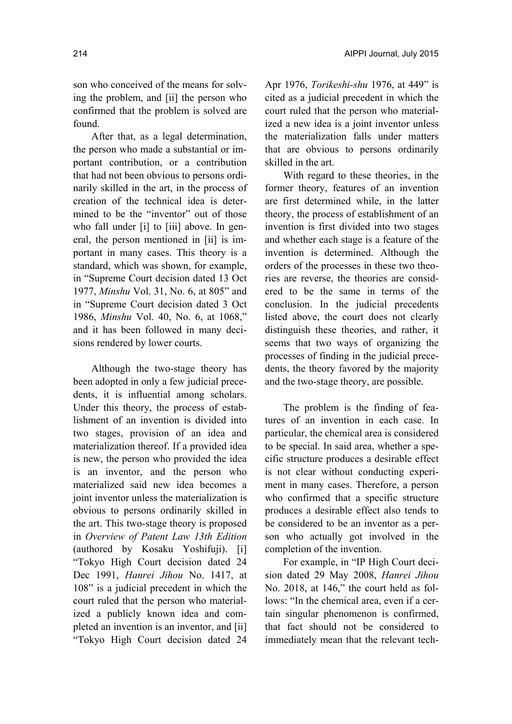After that, as a legal determination, the person who made a substantial or important contribution, or a contribution that had not been obvious to persons ordinarily skilled in the art, in the process of creation of the technical idea is determined to be the "inventor" out of those who fall under [i] to [iii] above. In general, the person mentioned in [ii] is important in many cases. This theory is a standard, which was shown, for example, in "Supreme Court decision dated 13 Oct 1977, *Minshu* Vol. 31, No. 6, at 805" and in "Supreme Court decision dated 3 Oct 1986, *Minshu* Vol. 40, No. 6, at 1068," and it has been followed in many decisions rendered by lower courts.

Although the two-stage theory has been adopted in only a few judicial precedents, it is influential among scholars. Under this theory, the process of establishment of an invention is divided into two stages, provision of an idea and materialization thereof. If a provided idea is new, the person who provided the idea is an inventor, and the person who materialized said new idea becomes a joint inventor unless the materialization is obvious to persons ordinarily skilled in the art. This two-stage theory is proposed in *Overview of Patent Law 13th Edition* (authored by Kosaku Yoshifuji). [i] "Tokyo High Court decision dated 24 Dec 1991, *Hanrei Jihou* No. 1417, at 108" is a judicial precedent in which the court ruled that the person who materialized a publicly known idea and completed an invention is an inventor, and [ii] "Tokyo High Court decision dated 24 Apr 1976, *Torikeshi-shu* 1976, at 449" is cited as a judicial precedent in which the court ruled that the person who materialized a new idea is a joint inventor unless the materialization falls under matters that are obvious to persons ordinarily skilled in the art.

With regard to these theories, in the former theory, features of an invention are first determined while, in the latter theory, the process of establishment of an invention is first divided into two stages and whether each stage is a feature of the invention is determined. Although the orders of the processes in these two theories are reverse, the theories are considered to be the same in terms of the conclusion. In the judicial precedents listed above, the court does not clearly distinguish these theories, and rather, it seems that two ways of organizing the processes of finding in the judicial precedents, the theory favored by the majority and the two-stage theory, are possible.

The problem is the finding of features of an invention in each case. In particular, the chemical area is considered to be special. In said area, whether a specific structure produces a desirable effect is not clear without conducting experiment in many cases. Therefore, a person who confirmed that a specific structure produces a desirable effect also tends to be considered to be an inventor as a person who actually got involved in the completion of the invention.

For example, in "IP High Court decision dated 29 May 2008, *Hanrei Jihou* No. 2018, at 146," the court held as follows: "In the chemical area, even if a certain singular phenomenon is confirmed, that fact should not be considered to immediately mean that the relevant tech-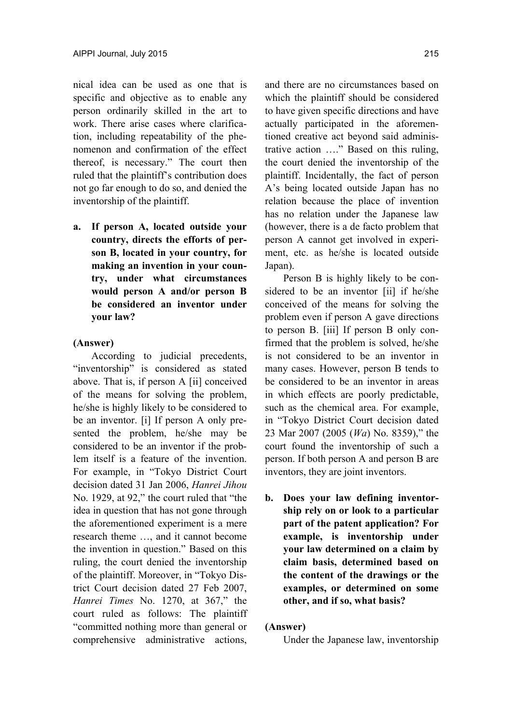nical idea can be used as one that is specific and objective as to enable any person ordinarily skilled in the art to work. There arise cases where clarification, including repeatability of the phenomenon and confirmation of the effect thereof, is necessary." The court then ruled that the plaintiff's contribution does not go far enough to do so, and denied the inventorship of the plaintiff.

**a. If person A, located outside your country, directs the efforts of person B, located in your country, for making an invention in your country, under what circumstances would person A and/or person B be considered an inventor under your law?** 

#### **(Answer)**

According to judicial precedents, "inventorship" is considered as stated above. That is, if person A [ii] conceived of the means for solving the problem, he/she is highly likely to be considered to be an inventor. [i] If person A only presented the problem, he/she may be considered to be an inventor if the problem itself is a feature of the invention. For example, in "Tokyo District Court decision dated 31 Jan 2006, *Hanrei Jihou* No. 1929, at 92," the court ruled that "the idea in question that has not gone through the aforementioned experiment is a mere research theme …, and it cannot become the invention in question." Based on this ruling, the court denied the inventorship of the plaintiff. Moreover, in "Tokyo District Court decision dated 27 Feb 2007, *Hanrei Times* No. 1270, at 367," the court ruled as follows: The plaintiff "committed nothing more than general or comprehensive administrative actions,

and there are no circumstances based on which the plaintiff should be considered to have given specific directions and have actually participated in the aforementioned creative act beyond said administrative action …." Based on this ruling, the court denied the inventorship of the plaintiff. Incidentally, the fact of person A's being located outside Japan has no relation because the place of invention has no relation under the Japanese law (however, there is a de facto problem that person A cannot get involved in experiment, etc. as he/she is located outside Japan).

Person B is highly likely to be considered to be an inventor [ii] if he/she conceived of the means for solving the problem even if person A gave directions to person B. [iii] If person B only confirmed that the problem is solved, he/she is not considered to be an inventor in many cases. However, person B tends to be considered to be an inventor in areas in which effects are poorly predictable, such as the chemical area. For example, in "Tokyo District Court decision dated 23 Mar 2007 (2005 (*Wa*) No. 8359)," the court found the inventorship of such a person. If both person A and person B are inventors, they are joint inventors.

**b. Does your law defining inventorship rely on or look to a particular part of the patent application? For example, is inventorship under your law determined on a claim by claim basis, determined based on the content of the drawings or the examples, or determined on some other, and if so, what basis?** 

#### **(Answer)**

Under the Japanese law, inventorship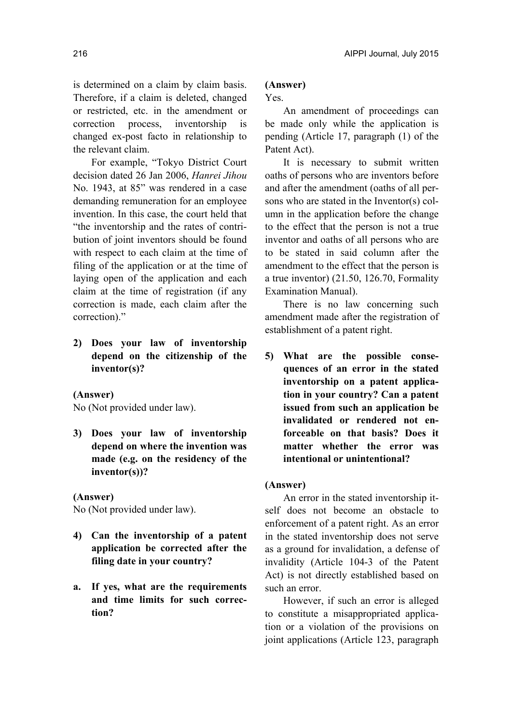is determined on a claim by claim basis. Therefore, if a claim is deleted, changed or restricted, etc. in the amendment or correction process, inventorship is changed ex-post facto in relationship to the relevant claim.

For example, "Tokyo District Court decision dated 26 Jan 2006, *Hanrei Jihou* No. 1943, at 85" was rendered in a case demanding remuneration for an employee invention. In this case, the court held that "the inventorship and the rates of contribution of joint inventors should be found with respect to each claim at the time of filing of the application or at the time of laying open of the application and each claim at the time of registration (if any correction is made, each claim after the correction)."

**2) Does your law of inventorship depend on the citizenship of the inventor(s)?** 

## **(Answer)**

No (Not provided under law).

**3) Does your law of inventorship depend on where the invention was made (e.g. on the residency of the inventor(s))?** 

## **(Answer)**

No (Not provided under law).

- **4) Can the inventorship of a patent application be corrected after the filing date in your country?**
- **a. If yes, what are the requirements and time limits for such correction?**

## **(Answer)**

Yes.

An amendment of proceedings can be made only while the application is pending (Article 17, paragraph (1) of the Patent Act).

It is necessary to submit written oaths of persons who are inventors before and after the amendment (oaths of all persons who are stated in the Inventor(s) column in the application before the change to the effect that the person is not a true inventor and oaths of all persons who are to be stated in said column after the amendment to the effect that the person is a true inventor) (21.50, 126.70, Formality Examination Manual).

There is no law concerning such amendment made after the registration of establishment of a patent right.

**5) What are the possible consequences of an error in the stated inventorship on a patent application in your country? Can a patent issued from such an application be invalidated or rendered not enforceable on that basis? Does it matter whether the error was intentional or unintentional?** 

## **(Answer)**

An error in the stated inventorship itself does not become an obstacle to enforcement of a patent right. As an error in the stated inventorship does not serve as a ground for invalidation, a defense of invalidity (Article 104-3 of the Patent Act) is not directly established based on such an error.

However, if such an error is alleged to constitute a misappropriated application or a violation of the provisions on joint applications (Article 123, paragraph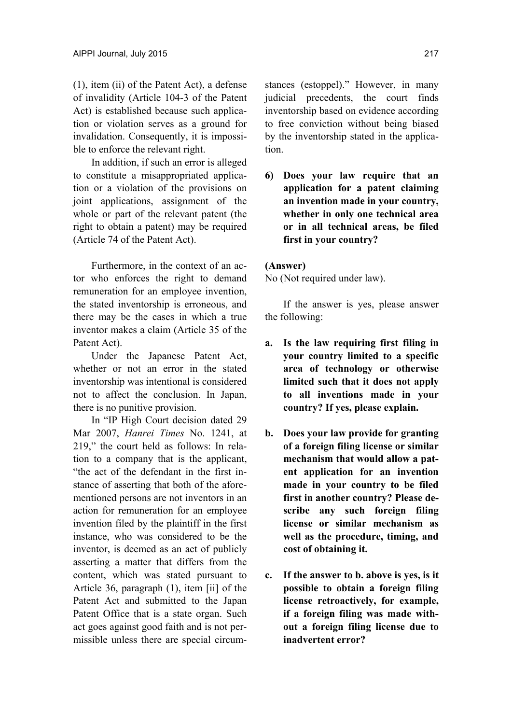(1), item (ii) of the Patent Act), a defense of invalidity (Article 104-3 of the Patent Act) is established because such application or violation serves as a ground for invalidation. Consequently, it is impossible to enforce the relevant right.

In addition, if such an error is alleged to constitute a misappropriated application or a violation of the provisions on joint applications, assignment of the whole or part of the relevant patent (the right to obtain a patent) may be required (Article 74 of the Patent Act).

Furthermore, in the context of an actor who enforces the right to demand remuneration for an employee invention, the stated inventorship is erroneous, and there may be the cases in which a true inventor makes a claim (Article 35 of the Patent Act).

Under the Japanese Patent Act, whether or not an error in the stated inventorship was intentional is considered not to affect the conclusion. In Japan, there is no punitive provision.

In "IP High Court decision dated 29 Mar 2007, *Hanrei Times* No. 1241, at 219," the court held as follows: In relation to a company that is the applicant, "the act of the defendant in the first instance of asserting that both of the aforementioned persons are not inventors in an action for remuneration for an employee invention filed by the plaintiff in the first instance, who was considered to be the inventor, is deemed as an act of publicly asserting a matter that differs from the content, which was stated pursuant to Article 36, paragraph (1), item [ii] of the Patent Act and submitted to the Japan Patent Office that is a state organ. Such act goes against good faith and is not permissible unless there are special circumstances (estoppel)." However, in many judicial precedents, the court finds inventorship based on evidence according to free conviction without being biased by the inventorship stated in the application.

**6) Does your law require that an application for a patent claiming an invention made in your country, whether in only one technical area or in all technical areas, be filed first in your country?** 

#### **(Answer)**

No (Not required under law).

If the answer is yes, please answer the following:

- **a. Is the law requiring first filing in your country limited to a specific area of technology or otherwise limited such that it does not apply to all inventions made in your country? If yes, please explain.**
- **b. Does your law provide for granting of a foreign filing license or similar mechanism that would allow a patent application for an invention made in your country to be filed first in another country? Please describe any such foreign filing license or similar mechanism as well as the procedure, timing, and cost of obtaining it.**
- **c. If the answer to b. above is yes, is it possible to obtain a foreign filing license retroactively, for example, if a foreign filing was made without a foreign filing license due to inadvertent error?**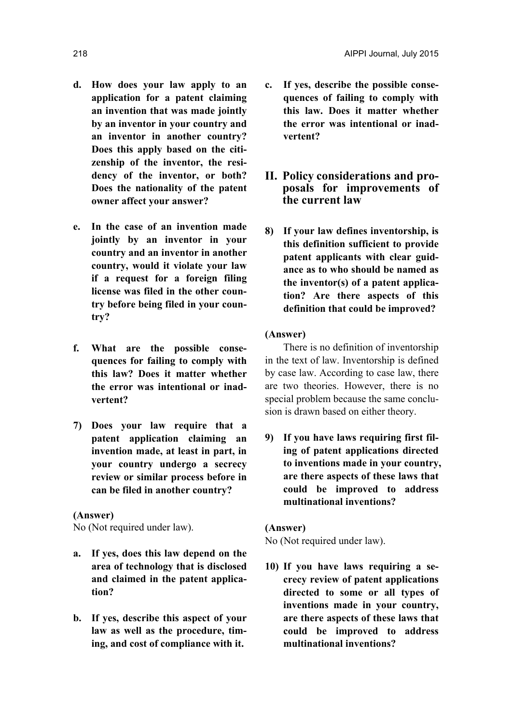- **d. How does your law apply to an application for a patent claiming an invention that was made jointly by an inventor in your country and an inventor in another country? Does this apply based on the citizenship of the inventor, the residency of the inventor, or both? Does the nationality of the patent owner affect your answer?**
- **e. In the case of an invention made jointly by an inventor in your country and an inventor in another country, would it violate your law if a request for a foreign filing license was filed in the other country before being filed in your country?**
- **f. What are the possible consequences for failing to comply with this law? Does it matter whether the error was intentional or inadvertent?**
- **7) Does your law require that a patent application claiming an invention made, at least in part, in your country undergo a secrecy review or similar process before in can be filed in another country?**

## **(Answer)**

No (Not required under law).

- **a. If yes, does this law depend on the area of technology that is disclosed and claimed in the patent application?**
- **b. If yes, describe this aspect of your law as well as the procedure, timing, and cost of compliance with it.**
- **c. If yes, describe the possible consequences of failing to comply with this law. Does it matter whether the error was intentional or inadvertent?**
- **II. Policy considerations and proposals for improvements of the current law**
- **8) If your law defines inventorship, is this definition sufficient to provide patent applicants with clear guidance as to who should be named as the inventor(s) of a patent application? Are there aspects of this definition that could be improved?**

#### **(Answer)**

There is no definition of inventorship in the text of law. Inventorship is defined by case law. According to case law, there are two theories. However, there is no special problem because the same conclusion is drawn based on either theory.

**9) If you have laws requiring first filing of patent applications directed to inventions made in your country, are there aspects of these laws that could be improved to address multinational inventions?** 

## **(Answer)**

No (Not required under law).

**10) If you have laws requiring a secrecy review of patent applications directed to some or all types of inventions made in your country, are there aspects of these laws that could be improved to address multinational inventions?**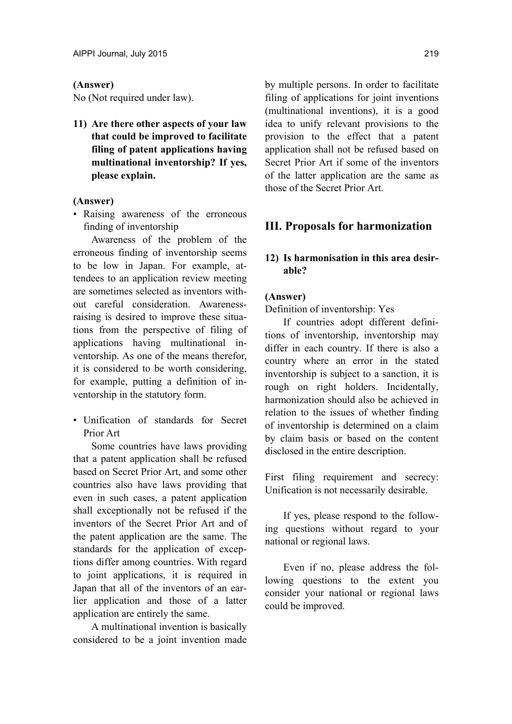#### **(Answer)**

No (Not required under law).

**11) Are there other aspects of your law that could be improved to facilitate filing of patent applications having multinational inventorship? If yes, please explain.** 

#### **(Answer)**

• Raising awareness of the erroneous finding of inventorship

Awareness of the problem of the erroneous finding of inventorship seems to be low in Japan. For example, attendees to an application review meeting are sometimes selected as inventors without careful consideration. Awarenessraising is desired to improve these situations from the perspective of filing of applications having multinational inventorship. As one of the means therefor, it is considered to be worth considering, for example, putting a definition of inventorship in the statutory form.

• Unification of standards for Secret Prior Art

Some countries have laws providing that a patent application shall be refused based on Secret Prior Art, and some other countries also have laws providing that even in such cases, a patent application shall exceptionally not be refused if the inventors of the Secret Prior Art and of the patent application are the same. The standards for the application of exceptions differ among countries. With regard to joint applications, it is required in Japan that all of the inventors of an earlier application and those of a latter application are entirely the same.

A multinational invention is basically considered to be a joint invention made by multiple persons. In order to facilitate filing of applications for joint inventions (multinational inventions), it is a good idea to unify relevant provisions to the provision to the effect that a patent application shall not be refused based on Secret Prior Art if some of the inventors of the latter application are the same as those of the Secret Prior Art.

## **III. Proposals for harmonization**

## **12) Is harmonisation in this area desirable?**

#### **(Answer)**

Definition of inventorship: Yes

If countries adopt different definitions of inventorship, inventorship may differ in each country. If there is also a country where an error in the stated inventorship is subject to a sanction, it is rough on right holders. Incidentally, harmonization should also be achieved in relation to the issues of whether finding of inventorship is determined on a claim by claim basis or based on the content disclosed in the entire description.

First filing requirement and secrecy: Unification is not necessarily desirable.

If yes, please respond to the following questions without regard to your national or regional laws.

Even if no, please address the following questions to the extent you consider your national or regional laws could be improved.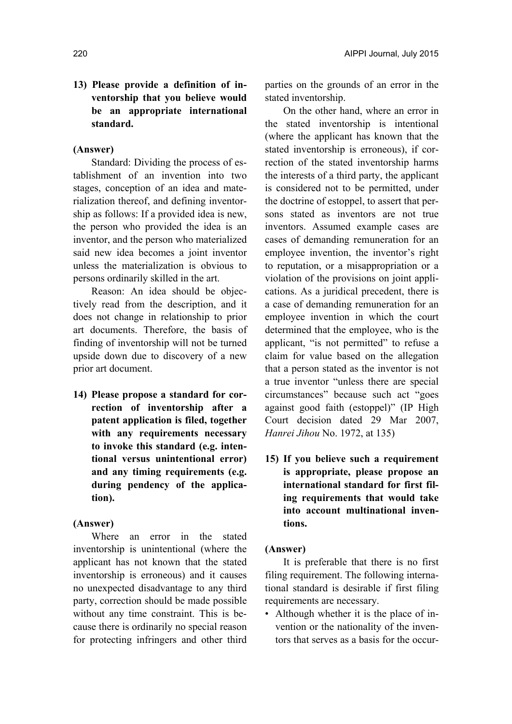## **13) Please provide a definition of inventorship that you believe would be an appropriate international standard.**

#### **(Answer)**

Standard: Dividing the process of establishment of an invention into two stages, conception of an idea and materialization thereof, and defining inventorship as follows: If a provided idea is new, the person who provided the idea is an inventor, and the person who materialized said new idea becomes a joint inventor unless the materialization is obvious to persons ordinarily skilled in the art.

Reason: An idea should be objectively read from the description, and it does not change in relationship to prior art documents. Therefore, the basis of finding of inventorship will not be turned upside down due to discovery of a new prior art document.

**14) Please propose a standard for correction of inventorship after a patent application is filed, together with any requirements necessary to invoke this standard (e.g. intentional versus unintentional error) and any timing requirements (e.g. during pendency of the application).** 

## **(Answer)**

Where an error in the stated inventorship is unintentional (where the applicant has not known that the stated inventorship is erroneous) and it causes no unexpected disadvantage to any third party, correction should be made possible without any time constraint. This is because there is ordinarily no special reason for protecting infringers and other third parties on the grounds of an error in the stated inventorship.

On the other hand, where an error in the stated inventorship is intentional (where the applicant has known that the stated inventorship is erroneous), if correction of the stated inventorship harms the interests of a third party, the applicant is considered not to be permitted, under the doctrine of estoppel, to assert that persons stated as inventors are not true inventors. Assumed example cases are cases of demanding remuneration for an employee invention, the inventor's right to reputation, or a misappropriation or a violation of the provisions on joint applications. As a juridical precedent, there is a case of demanding remuneration for an employee invention in which the court determined that the employee, who is the applicant, "is not permitted" to refuse a claim for value based on the allegation that a person stated as the inventor is not a true inventor "unless there are special circumstances" because such act "goes against good faith (estoppel)" (IP High Court decision dated 29 Mar 2007, *Hanrei Jihou* No. 1972, at 135)

**15) If you believe such a requirement is appropriate, please propose an international standard for first filing requirements that would take into account multinational inventions.** 

#### **(Answer)**

It is preferable that there is no first filing requirement. The following international standard is desirable if first filing requirements are necessary.

• Although whether it is the place of invention or the nationality of the inventors that serves as a basis for the occur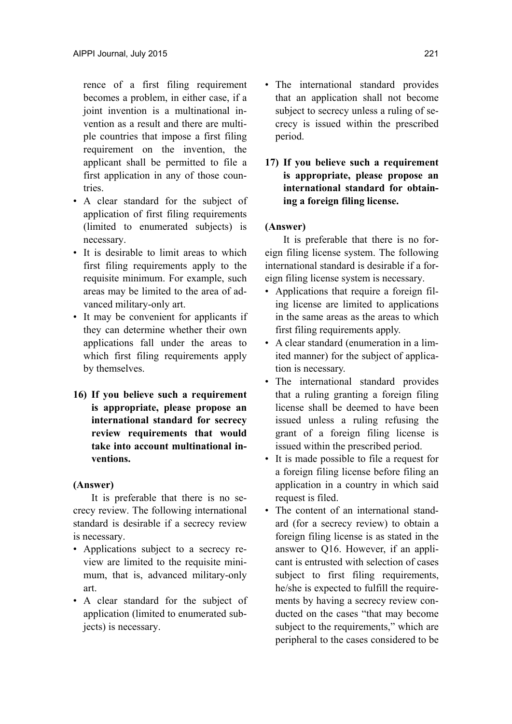rence of a first filing requirement becomes a problem, in either case, if a joint invention is a multinational invention as a result and there are multiple countries that impose a first filing requirement on the invention, the applicant shall be permitted to file a first application in any of those countries.

- A clear standard for the subject of application of first filing requirements (limited to enumerated subjects) is necessary.
- It is desirable to limit areas to which first filing requirements apply to the requisite minimum. For example, such areas may be limited to the area of advanced military-only art.
- It may be convenient for applicants if they can determine whether their own applications fall under the areas to which first filing requirements apply by themselves.
- **16) If you believe such a requirement is appropriate, please propose an international standard for secrecy review requirements that would take into account multinational inventions.**

## **(Answer)**

It is preferable that there is no secrecy review. The following international standard is desirable if a secrecy review is necessary.

- Applications subject to a secrecy review are limited to the requisite minimum, that is, advanced military-only art.
- A clear standard for the subject of application (limited to enumerated subjects) is necessary.
- The international standard provides that an application shall not become subject to secrecy unless a ruling of secrecy is issued within the prescribed period.
- **17) If you believe such a requirement is appropriate, please propose an international standard for obtaining a foreign filing license.**

## **(Answer)**

It is preferable that there is no foreign filing license system. The following international standard is desirable if a foreign filing license system is necessary.

- Applications that require a foreign filing license are limited to applications in the same areas as the areas to which first filing requirements apply.
- A clear standard (enumeration in a limited manner) for the subject of application is necessary.
- The international standard provides that a ruling granting a foreign filing license shall be deemed to have been issued unless a ruling refusing the grant of a foreign filing license is issued within the prescribed period.
- It is made possible to file a request for a foreign filing license before filing an application in a country in which said request is filed.
- The content of an international standard (for a secrecy review) to obtain a foreign filing license is as stated in the answer to Q16. However, if an applicant is entrusted with selection of cases subject to first filing requirements, he/she is expected to fulfill the requirements by having a secrecy review conducted on the cases "that may become subject to the requirements," which are peripheral to the cases considered to be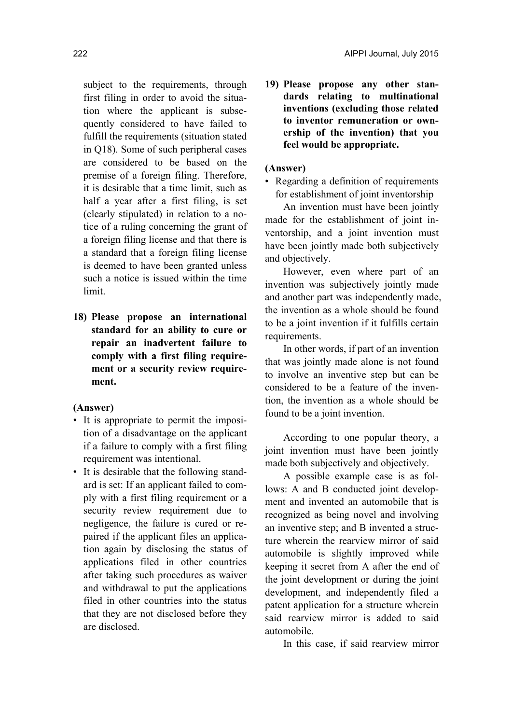subject to the requirements, through first filing in order to avoid the situation where the applicant is subsequently considered to have failed to fulfill the requirements (situation stated in Q18). Some of such peripheral cases are considered to be based on the premise of a foreign filing. Therefore, it is desirable that a time limit, such as half a year after a first filing, is set (clearly stipulated) in relation to a notice of a ruling concerning the grant of a foreign filing license and that there is a standard that a foreign filing license is deemed to have been granted unless such a notice is issued within the time limit.

**18) Please propose an international standard for an ability to cure or repair an inadvertent failure to comply with a first filing requirement or a security review requirement.** 

#### **(Answer)**

- It is appropriate to permit the imposition of a disadvantage on the applicant if a failure to comply with a first filing requirement was intentional.
- It is desirable that the following standard is set: If an applicant failed to comply with a first filing requirement or a security review requirement due to negligence, the failure is cured or repaired if the applicant files an application again by disclosing the status of applications filed in other countries after taking such procedures as waiver and withdrawal to put the applications filed in other countries into the status that they are not disclosed before they are disclosed.

**19) Please propose any other standards relating to multinational inventions (excluding those related to inventor remuneration or ownership of the invention) that you feel would be appropriate.** 

## **(Answer)**

• Regarding a definition of requirements for establishment of joint inventorship

An invention must have been jointly made for the establishment of joint inventorship, and a joint invention must have been jointly made both subjectively and objectively.

However, even where part of an invention was subjectively jointly made and another part was independently made, the invention as a whole should be found to be a joint invention if it fulfills certain requirements.

In other words, if part of an invention that was jointly made alone is not found to involve an inventive step but can be considered to be a feature of the invention, the invention as a whole should be found to be a joint invention.

According to one popular theory, a joint invention must have been jointly made both subjectively and objectively.

A possible example case is as follows: A and B conducted joint development and invented an automobile that is recognized as being novel and involving an inventive step; and B invented a structure wherein the rearview mirror of said automobile is slightly improved while keeping it secret from A after the end of the joint development or during the joint development, and independently filed a patent application for a structure wherein said rearview mirror is added to said automobile.

In this case, if said rearview mirror